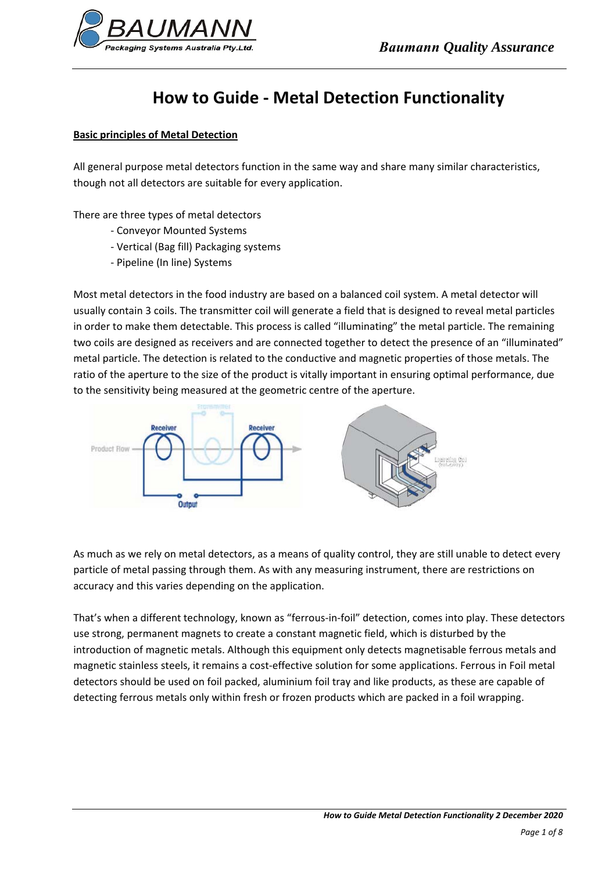

# **How to Guide ‐ Metal Detection Functionality**

# **Basic principles of Metal Detection**

All general purpose metal detectors function in the same way and share many similar characteristics, though not all detectors are suitable for every application.

There are three types of metal detectors

- ‐ Conveyor Mounted Systems
- ‐ Vertical (Bag fill) Packaging systems
- ‐ Pipeline (In line) Systems

Most metal detectors in the food industry are based on a balanced coil system. A metal detector will usually contain 3 coils. The transmitter coil will generate a field that is designed to reveal metal particles in order to make them detectable. This process is called "illuminating" the metal particle. The remaining two coils are designed as receivers and are connected together to detect the presence of an "illuminated" metal particle. The detection is related to the conductive and magnetic properties of those metals. The ratio of the aperture to the size of the product is vitally important in ensuring optimal performance, due to the sensitivity being measured at the geometric centre of the aperture.



As much as we rely on metal detectors, as a means of quality control, they are still unable to detect every particle of metal passing through them. As with any measuring instrument, there are restrictions on accuracy and this varies depending on the application.

That's when a different technology, known as "ferrous‐in‐foil" detection, comes into play. These detectors use strong, permanent magnets to create a constant magnetic field, which is disturbed by the introduction of magnetic metals. Although this equipment only detects magnetisable ferrous metals and magnetic stainless steels, it remains a cost-effective solution for some applications. Ferrous in Foil metal detectors should be used on foil packed, aluminium foil tray and like products, as these are capable of detecting ferrous metals only within fresh or frozen products which are packed in a foil wrapping.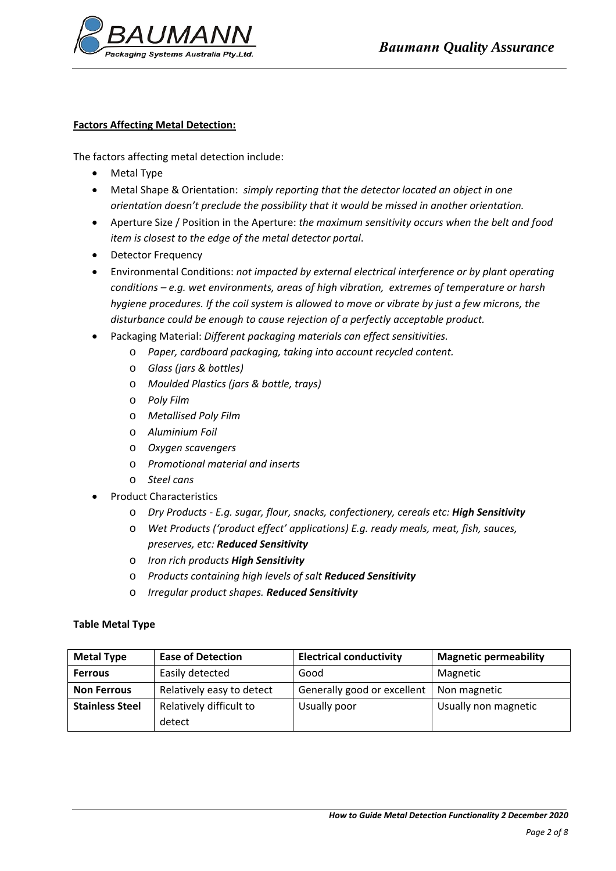

# **Factors Affecting Metal Detection:**

The factors affecting metal detection include:

- Metal Type
- Metal Shape & Orientation: *simply reporting that the detector located an object in one orientation doesn't preclude the possibility that it would be missed in another orientation.*
- Aperture Size / Position in the Aperture: *the maximum sensitivity occurs when the belt and food item is closest to the edge of the metal detector portal*.
- Detector Frequency
- Environmental Conditions: *not impacted by external electrical interference or by plant operating conditions – e.g. wet environments, areas of high vibration, extremes of temperature or harsh hygiene procedures. If the coil system is allowed to move or vibrate by just a few microns, the disturbance could be enough to cause rejection of a perfectly acceptable product.*
- Packaging Material: *Different packaging materials can effect sensitivities.* 
	- o *Paper, cardboard packaging, taking into account recycled content.*
	- o *Glass (jars & bottles)*
	- o *Moulded Plastics (jars & bottle, trays)*
	- o *Poly Film*
	- o *Metallised Poly Film*
	- o *Aluminium Foil*
	- o *Oxygen scavengers*
	- o *Promotional material and inserts*
	- o *Steel cans*
- Product Characteristics
	- o *Dry Products ‐ E.g. sugar, flour, snacks, confectionery, cereals etc: High Sensitivity*
	- o *Wet Products ('product effect' applications) E.g. ready meals, meat, fish, sauces, preserves, etc: Reduced Sensitivity*
	- o *Iron rich products High Sensitivity*
	- o *Products containing high levels of salt Reduced Sensitivity*
	- o *Irregular product shapes. Reduced Sensitivity*

## **Table Metal Type**

| <b>Metal Type</b>      | <b>Ease of Detection</b>  | <b>Electrical conductivity</b> | <b>Magnetic permeability</b> |
|------------------------|---------------------------|--------------------------------|------------------------------|
| <b>Ferrous</b>         | Easily detected           | Good                           | Magnetic                     |
| <b>Non Ferrous</b>     | Relatively easy to detect | Generally good or excellent    | Non magnetic                 |
| <b>Stainless Steel</b> | Relatively difficult to   | Usually poor                   | Usually non magnetic         |
|                        | detect                    |                                |                              |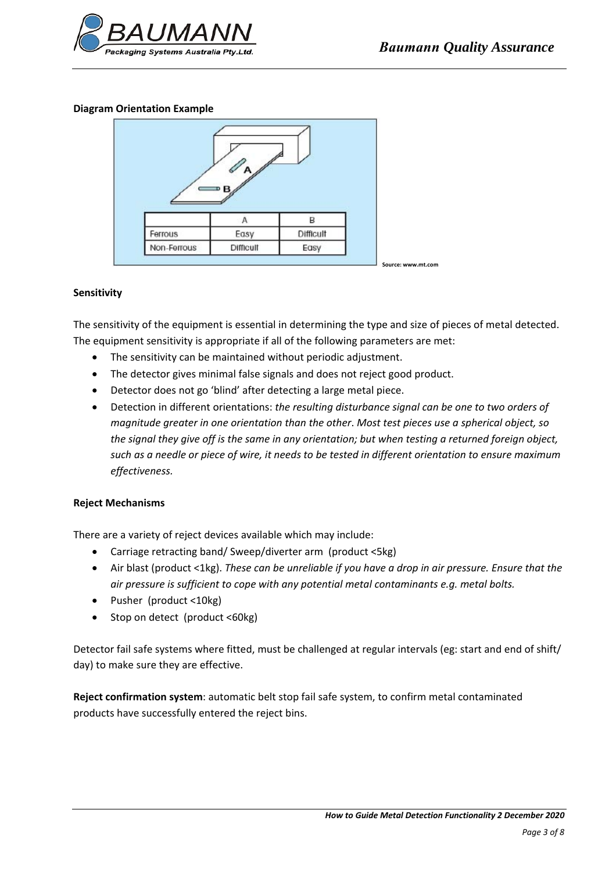

## **Diagram Orientation Example**



#### **Sensitivity**

The sensitivity of the equipment is essential in determining the type and size of pieces of metal detected. The equipment sensitivity is appropriate if all of the following parameters are met:

- The sensitivity can be maintained without periodic adjustment.
- The detector gives minimal false signals and does not reject good product.
- Detector does not go 'blind' after detecting a large metal piece.
- Detection in different orientations: *the resulting disturbance signal can be one to two orders of magnitude greater in one orientation than the other*. *Most test pieces use a spherical object, so* the signal they give off is the same in any orientation; but when testing a returned foreign object, such as a needle or piece of wire, it needs to be tested in different orientation to ensure maximum  $effectiveness.$

#### **Reject Mechanisms**

There are a variety of reject devices available which may include:

- Carriage retracting band/ Sweep/diverter arm (product <5kg)
- Air blast (product <1kg). *These can be unreliable if you have a drop in air pressure. Ensure that the air pressure is sufficient to cope with any potential metal contaminants e.g. metal bolts.*
- Pusher (product <10kg)
- Stop on detect (product <60kg)

Detector fail safe systems where fitted, must be challenged at regular intervals (eg: start and end of shift/ day) to make sure they are effective.

**Reject confirmation system**: automatic belt stop fail safe system, to confirm metal contaminated products have successfully entered the reject bins.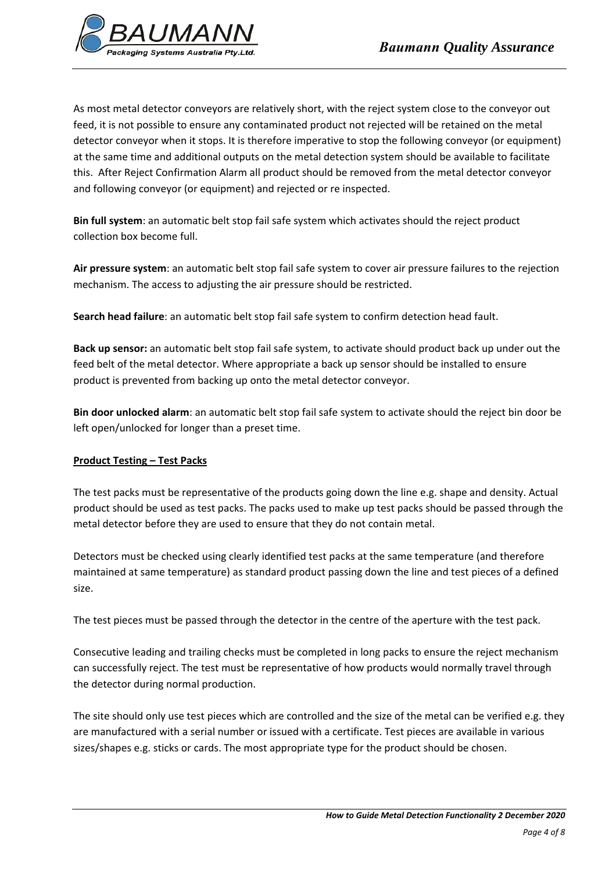

As most metal detector conveyors are relatively short, with the reject system close to the conveyor out feed, it is not possible to ensure any contaminated product not rejected will be retained on the metal detector conveyor when it stops. It is therefore imperative to stop the following conveyor (or equipment) at the same time and additional outputs on the metal detection system should be available to facilitate this. After Reject Confirmation Alarm all product should be removed from the metal detector conveyor and following conveyor (or equipment) and rejected or re inspected.

**Bin full system**: an automatic belt stop fail safe system which activates should the reject product collection box become full.

**Air pressure system**: an automatic belt stop fail safe system to cover air pressure failures to the rejection mechanism. The access to adjusting the air pressure should be restricted.

**Search head failure**: an automatic belt stop fail safe system to confirm detection head fault.

**Back up sensor:** an automatic belt stop fail safe system, to activate should product back up under out the feed belt of the metal detector. Where appropriate a back up sensor should be installed to ensure product is prevented from backing up onto the metal detector conveyor.

**Bin door unlocked alarm**: an automatic belt stop fail safe system to activate should the reject bin door be left open/unlocked for longer than a preset time.

# **Product Testing – Test Packs**

The test packs must be representative of the products going down the line e.g. shape and density. Actual product should be used as test packs. The packs used to make up test packs should be passed through the metal detector before they are used to ensure that they do not contain metal.

Detectors must be checked using clearly identified test packs at the same temperature (and therefore maintained at same temperature) as standard product passing down the line and test pieces of a defined size.

The test pieces must be passed through the detector in the centre of the aperture with the test pack.

Consecutive leading and trailing checks must be completed in long packs to ensure the reject mechanism can successfully reject. The test must be representative of how products would normally travel through the detector during normal production.

The site should only use test pieces which are controlled and the size of the metal can be verified e.g. they are manufactured with a serial number or issued with a certificate. Test pieces are available in various sizes/shapes e.g. sticks or cards. The most appropriate type for the product should be chosen.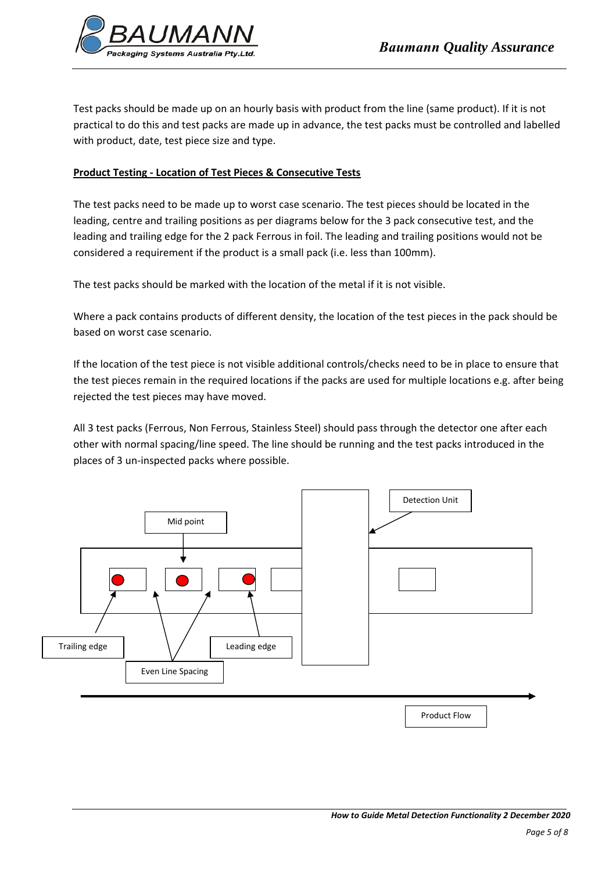Test packs should be made up on an hourly basis with product from the line (same product). If it is not practical to do this and test packs are made up in advance, the test packs must be controlled and labelled with product, date, test piece size and type.

# **Product Testing ‐ Location of Test Pieces & Consecutive Tests**

The test packs need to be made up to worst case scenario. The test pieces should be located in the leading, centre and trailing positions as per diagrams below for the 3 pack consecutive test, and the leading and trailing edge for the 2 pack Ferrous in foil. The leading and trailing positions would not be considered a requirement if the product is a small pack (i.e. less than 100mm).

The test packs should be marked with the location of the metal if it is not visible.

Where a pack contains products of different density, the location of the test pieces in the pack should be based on worst case scenario.

If the location of the test piece is not visible additional controls/checks need to be in place to ensure that the test pieces remain in the required locations if the packs are used for multiple locations e.g. after being rejected the test pieces may have moved.

All 3 test packs (Ferrous, Non Ferrous, Stainless Steel) should pass through the detector one after each other with normal spacing/line speed. The line should be running and the test packs introduced in the places of 3 un‐inspected packs where possible.

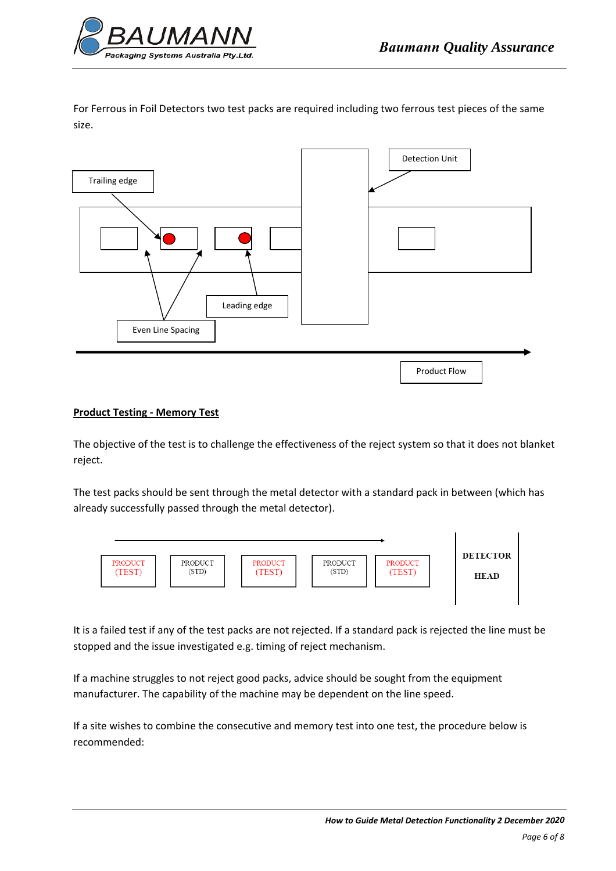

For Ferrous in Foil Detectors two test packs are required including two ferrous test pieces of the same size.



# **Product Testing ‐ Memory Test**

The objective of the test is to challenge the effectiveness of the reject system so that it does not blanket reject.

The test packs should be sent through the metal detector with a standard pack in between (which has already successfully passed through the metal detector).



It is a failed test if any of the test packs are not rejected. If a standard pack is rejected the line must be stopped and the issue investigated e.g. timing of reject mechanism.

If a machine struggles to not reject good packs, advice should be sought from the equipment manufacturer. The capability of the machine may be dependent on the line speed.

If a site wishes to combine the consecutive and memory test into one test, the procedure below is recommended: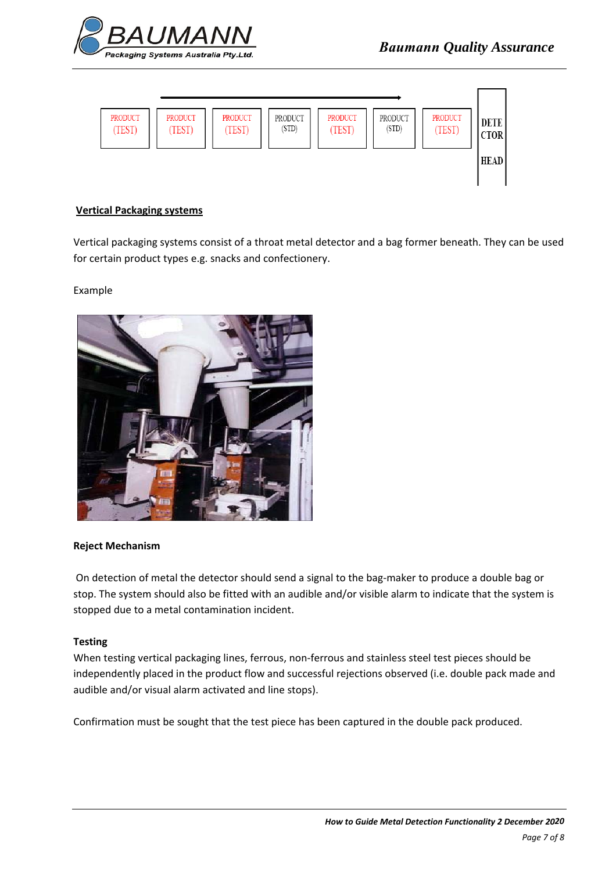



# **Vertical Packaging systems**

Vertical packaging systems consist of a throat metal detector and a bag former beneath. They can be used for certain product types e.g. snacks and confectionery.

## Example



## **Reject Mechanism**

On detection of metal the detector should send a signal to the bag-maker to produce a double bag or stop. The system should also be fitted with an audible and/or visible alarm to indicate that the system is stopped due to a metal contamination incident.

## **Testing**

When testing vertical packaging lines, ferrous, non-ferrous and stainless steel test pieces should be independently placed in the product flow and successful rejections observed (i.e. double pack made and audible and/or visual alarm activated and line stops).

Confirmation must be sought that the test piece has been captured in the double pack produced.